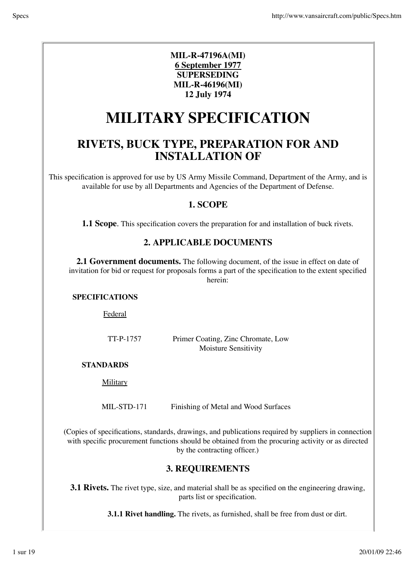#### **MIL-R-47196A(MI) 6 September 1977 SUPERSEDING MIL-R-46196(MI) 12 July 1974**

# **MILITARY SPECIFICATION**

# **RIVETS, BUCK TYPE, PREPARATION FOR AND INSTALLATION OF**

This specification is approved for use by US Army Missile Command, Department of the Army, and is available for use by all Departments and Agencies of the Department of Defense.

#### **1. SCOPE**

**1.1 Scope**. This specification covers the preparation for and installation of buck rivets.

#### **2. APPLICABLE DOCUMENTS**

**2.1 Government documents.** The following document, of the issue in effect on date of invitation for bid or request for proposals forms a part of the specification to the extent specified herein:

#### **SPECIFICATIONS**

Federal

TT-P-1757 Primer Coating, Zinc Chromate, Low Moisture Sensitivity

#### **STANDARDS**

**Military** 

MIL-STD-171 Finishing of Metal and Wood Surfaces

(Copies of specifications, standards, drawings, and publications required by suppliers in connection with specific procurement functions should be obtained from the procuring activity or as directed by the contracting officer.)

#### **3. REQUIREMENTS**

**3.1 Rivets.** The rivet type, size, and material shall be as specified on the engineering drawing, parts list or specification.

**3.1.1 Rivet handling.** The rivets, as furnished, shall be free from dust or dirt.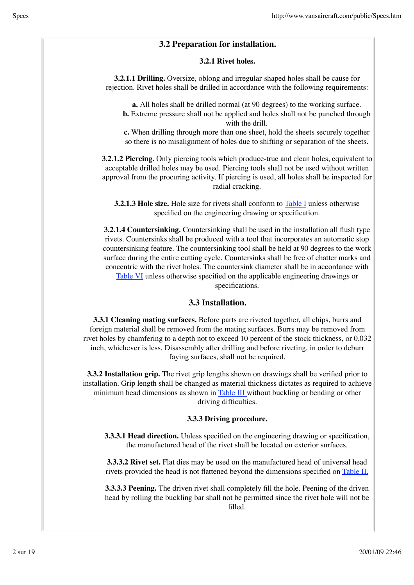#### **3.2 Preparation for installation.**

#### **3.2.1 Rivet holes.**

**3.2.1.1 Drilling.** Oversize, oblong and irregular-shaped holes shall be cause for rejection. Rivet holes shall be drilled in accordance with the following requirements:

**a.** All holes shall be drilled normal (at 90 degrees) to the working surface. **b.** Extreme pressure shall not be applied and holes shall not be punched through with the drill.

**c.** When drilling through more than one sheet, hold the sheets securely together so there is no misalignment of holes due to shifting or separation of the sheets.

**3.2.1.2 Piercing.** Only piercing tools which produce-true and clean holes, equivalent to acceptable drilled holes may be used. Piercing tools shall not be used without written approval from the procuring activity. If piercing is used, all holes shall be inspected for radial cracking.

**3.2.1.3 Hole size.** Hole size for rivets shall conform to Table I unless otherwise specified on the engineering drawing or specification.

**3.2.1.4 Countersinking.** Countersinking shall be used in the installation all flush type rivets. Countersinks shall be produced with a tool that incorporates an automatic stop countersinking feature. The countersinking tool shall be held at 90 degrees to the work surface during the entire cutting cycle. Countersinks shall be free of chatter marks and concentric with the rivet holes. The countersink diameter shall be in accordance with Table VI unless otherwise specified on the applicable engineering drawings or specifications.

#### **3.3 Installation.**

**3.3.1 Cleaning mating surfaces.** Before parts are riveted together, all chips, burrs and foreign material shall be removed from the mating surfaces. Burrs may be removed from rivet holes by chamfering to a depth not to exceed 10 percent of the stock thickness, or 0.032 inch, whichever is less. Disassembly after drilling and before riveting, in order to deburr faying surfaces, shall not be required.

**3.3.2 Installation grip.** The rivet grip lengths shown on drawings shall be verified prior to installation. Grip length shall be changed as material thickness dictates as required to achieve minimum head dimensions as shown in Table III without buckling or bending or other driving difficulties.

#### **3.3.3 Driving procedure.**

**3.3.3.1 Head direction.** Unless specified on the engineering drawing or specification, the manufactured head of the rivet shall be located on exterior surfaces.

**3.3.3.2 Rivet set.** Flat dies may be used on the manufactured head of universal head rivets provided the head is not flattened beyond the dimensions specified on Table II.

**3.3.3.3 Peening.** The driven rivet shall completely fill the hole. Peening of the driven head by rolling the buckling bar shall not be permitted since the rivet hole will not be filled.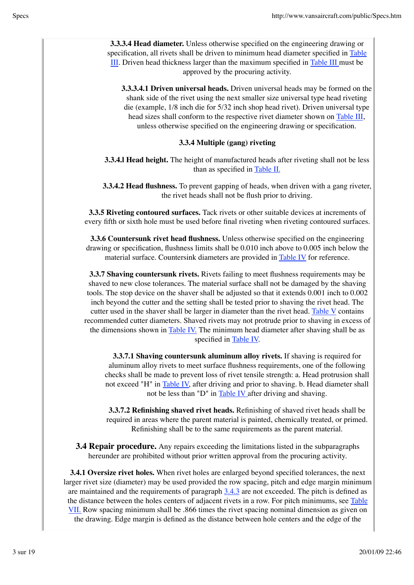**3.3.3.4 Head diameter.** Unless otherwise specified on the engineering drawing or specification, all rivets shall be driven to minimum head diameter specified in Table III. Driven head thickness larger than the maximum specified in Table III must be approved by the procuring activity.

**3.3.3.4.1 Driven universal heads.** Driven universal heads may be formed on the shank side of the rivet using the next smaller size universal type head riveting die (example, 1/8 inch die for 5/32 inch shop head rivet). Driven universal type head sizes shall conform to the respective rivet diameter shown on Table III, unless otherwise specified on the engineering drawing or specification.

#### **3.3.4 Multiple (gang) riveting**

**3.3.4. Head height.** The height of manufactured heads after riveting shall not be less than as specified in Table II.

**3.3.4.2 Head flushness.** To prevent gapping of heads, when driven with a gang riveter, the rivet heads shall not be flush prior to driving.

**3.3.5 Riveting contoured surfaces.** Tack rivets or other suitable devices at increments of every fifth or sixth hole must be used before final riveting when riveting contoured surfaces.

**3.3.6 Countersunk rivet head flushness.** Unless otherwise specified on the engineering drawing or specification, flushness limits shall be 0.010 inch above to 0.005 inch below the material surface. Countersink diameters are provided in Table IV for reference.

**3.3.7 Shaving countersunk rivets.** Rivets failing to meet flushness requirements may be shaved to new close tolerances. The material surface shall not be damaged by the shaving tools. The stop device on the shaver shall be adjusted so that it extends 0.001 inch to 0.002 inch beyond the cutter and the setting shall be tested prior to shaving the rivet head. The cutter used in the shaver shall be larger in diameter than the rivet head. Table V contains recommended cutter diameters. Shaved rivets may not protrude prior to shaving in excess of the dimensions shown in **Table IV**. The minimum head diameter after shaving shall be as specified in Table IV.

**3.3.7.1 Shaving countersunk aluminum alloy rivets.** If shaving is required for aluminum alloy rivets to meet surface flushness requirements, one of the following checks shall be made to prevent loss of rivet tensile strength: a. Head protrusion shall not exceed "H" in Table IV, after driving and prior to shaving. b. Head diameter shall not be less than "D" in Table IV after driving and shaving.

**3.3.7.2 Refinishing shaved rivet heads.** Refinishing of shaved rivet heads shall be required in areas where the parent material is painted, chemically treated, or primed. Refinishing shall be to the same requirements as the parent material.

**3.4 Repair procedure.** Any repairs exceeding the limitations listed in the subparagraphs hereunder are prohibited without prior written approval from the procuring activity.

**3.4.1 Oversize rivet holes.** When rivet holes are enlarged beyond specified tolerances, the next larger rivet size (diameter) may be used provided the row spacing, pitch and edge margin minimum are maintained and the requirements of paragraph 3.4.3 are not exceeded. The pitch is defined as the distance between the holes centers of adjacent rivets in a row. For pitch minimums, see Table VII. Row spacing minimum shall be .866 times the rivet spacing nominal dimension as given on the drawing. Edge margin is defined as the distance between hole centers and the edge of the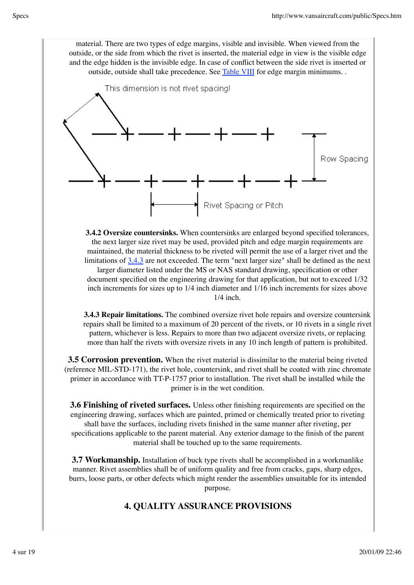material. There are two types of edge margins, visible and invisible. When viewed from the outside, or the side from which the rivet is inserted, the material edge in view is the visible edge and the edge hidden is the invisible edge. In case of conflict between the side rivet is inserted or outside, outside shall take precedence. See Table VIII for edge margin minimums. .



**3.4.2 Oversize countersinks.** When countersinks are enlarged beyond specified tolerances, the next larger size rivet may be used, provided pitch and edge margin requirements are maintained, the material thickness to be riveted will permit the use of a larger rivet and the limitations of 3.4.3 are not exceeded. The term "next larger size" shall be defined as the next larger diameter listed under the MS or NAS standard drawing, specification or other document specified on the engineering drawing for that application, but not to exceed 1/32 inch increments for sizes up to 1/4 inch diameter and 1/16 inch increments for sizes above 1/4 inch.

**3.4.3 Repair limitations.** The combined oversize rivet hole repairs and oversize countersink repairs shall be limited to a maximum of 20 percent of the rivets, or 10 rivets in a single rivet pattern, whichever is less. Repairs to more than two adjacent oversize rivets, or replacing more than half the rivets with oversize rivets in any 10 inch length of pattern is prohibited.

**3.5 Corrosion prevention.** When the rivet material is dissimilar to the material being riveted (reference MIL-STD-171), the rivet hole, countersink, and rivet shall be coated with zinc chromate primer in accordance with TT-P-1757 prior to installation. The rivet shall be installed while the primer is in the wet condition.

**3.6 Finishing of riveted surfaces.** Unless other finishing requirements are specified on the engineering drawing, surfaces which are painted, primed or chemically treated prior to riveting shall have the surfaces, including rivets finished in the same manner after riveting, per specifications applicable to the parent material. Any exterior damage to the finish of the parent material shall be touched up to the same requirements.

**3.7 Workmanship.** Installation of buck type rivets shall be accomplished in a workmanlike manner. Rivet assemblies shall be of uniform quality and free from cracks, gaps, sharp edges, burrs, loose parts, or other defects which might render the assemblies unsuitable for its intended purpose.

#### **4. QUALITY ASSURANCE PROVISIONS**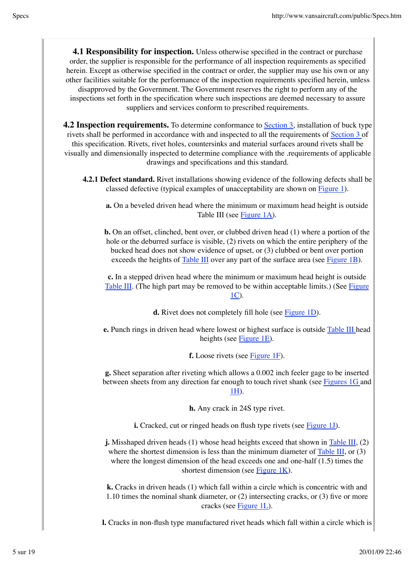**4.1 Responsibility for inspection.** Unless otherwise specified in the contract or purchase order, the supplier is responsible for the performance of all inspection requirements as specified herein. Except as otherwise specified in the contract or order, the supplier may use his own or any other facilities suitable for the performance of the inspection requirements specified herein, unless disapproved by the Government. The Government reserves the right to perform any of the inspections set forth in the specification where such inspections are deemed necessary to assure suppliers and services conform to prescribed requirements.

**4.2 Inspection requirements.** To determine conformance to Section 3, installation of buck type rivets shall be performed in accordance with and inspected to all the requirements of Section 3 of this specification. Rivets, rivet holes, countersinks and material surfaces around rivets shall be visually and dimensionally inspected to determine compliance with the .requirements of applicable drawings and specifications and this standard.

**4.2.1 Defect standard.** Rivet installations showing evidence of the following defects shall be classed defective (typical examples of unacceptability are shown on Figure 1).

**a.** On a beveled driven head where the minimum or maximum head height is outside Table III (see Figure 1A).

**b.** On an offset, clinched, bent over, or clubbed driven head (1) where a portion of the hole or the deburred surface is visible, (2) rivets on which the entire periphery of the bucked head does not show evidence of upset, or (3) clubbed or bent over portion exceeds the heights of Table III over any part of the surface area (see Figure 1B).

**c.** In a stepped driven head where the minimum or maximum head height is outside Table III. (The high part may be removed to be within acceptable limits.) (See Figure 1C).

**d.** Rivet does not completely fill hole (see Figure 1D).

**e.** Punch rings in driven head where lowest or highest surface is outside Table III head heights (see Figure 1E).

**f.** Loose rivets (see Figure 1F).

**g.** Sheet separation after riveting which allows a 0.002 inch feeler gage to be inserted between sheets from any direction far enough to touch rivet shank (see Figures 1G and 1H).

**h.** Any crack in 24S type rivet.

**i.** Cracked, cut or ringed heads on flush type rivets (see Figure 1J).

**j.** Misshaped driven heads (1) whose head heights exceed that shown in Table III, (2) where the shortest dimension is less than the minimum diameter of Table III, or (3) where the longest dimension of the head exceeds one and one-half (1.5) times the shortest dimension (see Figure 1K).

**k.** Cracks in driven heads (1) which fall within a circle which is concentric with and 1.10 times the nominal shank diameter, or (2) intersecting cracks, or (3) five or more cracks (see Figure 1L).

**l.** Cracks in non-flush type manufactured rivet heads which fall within a circle which is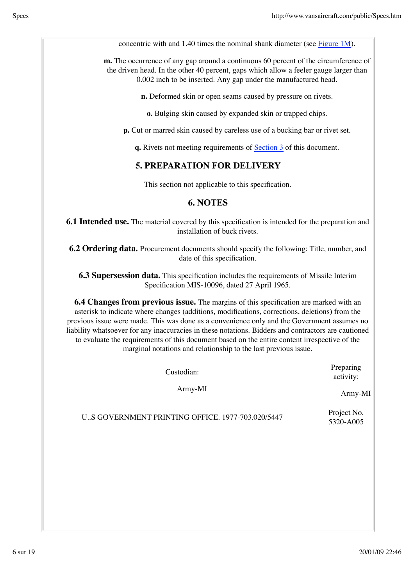concentric with and 1.40 times the nominal shank diameter (see Figure 1M).

**m.** The occurrence of any gap around a continuous 60 percent of the circumference of the driven head. In the other 40 percent, gaps which allow a feeler gauge larger than 0.002 inch to be inserted. Any gap under the manufactured head.

**n.** Deformed skin or open seams caused by pressure on rivets.

**o.** Bulging skin caused by expanded skin or trapped chips.

**p.** Cut or marred skin caused by careless use of a bucking bar or rivet set.

**q.** Rivets not meeting requirements of Section 3 of this document.

# **5. PREPARATION FOR DELIVERY**

This section not applicable to this specification.

## **6. NOTES**

**6.1 Intended use.** The material covered by this specification is intended for the preparation and installation of buck rivets.

**6.2 Ordering data.** Procurement documents should specify the following: Title, number, and date of this specification.

**6.3 Supersession data.** This specification includes the requirements of Missile Interim Specification MIS-10096, dated 27 April 1965.

**6.4 Changes from previous issue.** The margins of this specification are marked with an asterisk to indicate where changes (additions, modifications, corrections, deletions) from the previous issue were made. This was done as a convenience only and the Government assumes no liability whatsoever for any inaccuracies in these notations. Bidders and contractors are cautioned to evaluate the requirements of this document based on the entire content irrespective of the marginal notations and relationship to the last previous issue.

| Custodian: |  |
|------------|--|
| $Army-MI$  |  |

activity: Army-MI

Preparing

U.S GOVERNMENT PRINTING OFFICE. 1977-703.020/5447 Project No.

5320-A005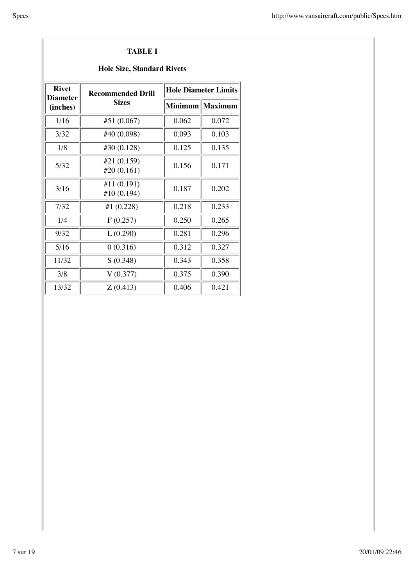#### **TABLE I**

### **Hole Size, Standard Rivets**

| <b>Rivet</b><br><b>Recommended Drill</b><br><b>Diameter</b> |                           |       | <b>Hole Diameter Limits</b> |  |  |  |
|-------------------------------------------------------------|---------------------------|-------|-----------------------------|--|--|--|
| (inches)                                                    | <b>Sizes</b>              |       | Minimum   Maximum           |  |  |  |
| 1/16                                                        | #51 (0.067)               | 0.062 | 0.072                       |  |  |  |
| 3/32                                                        | #40 (0.098)               | 0.093 | 0.103                       |  |  |  |
| 1/8                                                         | #30 (0.128)               | 0.125 | 0.135                       |  |  |  |
| 5/32                                                        | #21 (0.159)<br>#20(0.161) | 0.156 | 0.171                       |  |  |  |
| 3/16                                                        | #11(0.191)<br>#10 (0.194) | 0.187 | 0.202                       |  |  |  |
| 7/32                                                        | #1 (0.228)                | 0.218 | 0.233                       |  |  |  |
| 1/4                                                         | F(0.257)                  | 0.250 | 0.265                       |  |  |  |
| 9/32                                                        | L(0.290)                  | 0.281 | 0.296                       |  |  |  |
| 5/16                                                        | 0(0.316)                  | 0.312 | 0.327                       |  |  |  |
| 11/32                                                       | S(0.348)                  | 0.343 | 0.358                       |  |  |  |
| 3/8                                                         | V(0.377)                  | 0.375 | 0.390                       |  |  |  |
| 13/32                                                       | Z(0.413)                  | 0.406 | 0.421                       |  |  |  |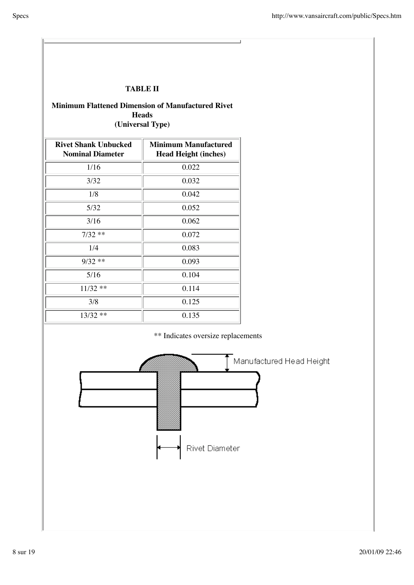#### **TABLE II**

#### **Minimum Flattened Dimension of Manufactured Rivet Heads (Universal Type)**

| <b>Rivet Shank Unbucked</b><br><b>Nominal Diameter</b> | <b>Minimum Manufactured</b><br><b>Head Height (inches)</b> |
|--------------------------------------------------------|------------------------------------------------------------|
| 1/16                                                   | 0.022                                                      |
| 3/32                                                   | 0.032                                                      |
| 1/8                                                    | 0.042                                                      |
| 5/32                                                   | 0.052                                                      |
| 3/16                                                   | 0.062                                                      |
| $7/32**$                                               | 0.072                                                      |
| 1/4                                                    | 0.083                                                      |
| $9/32$ **                                              | 0.093                                                      |
| 5/16                                                   | 0.104                                                      |
| $11/32$ **                                             | 0.114                                                      |
| 3/8                                                    | 0.125                                                      |
| $13/32$ **                                             | 0.135                                                      |



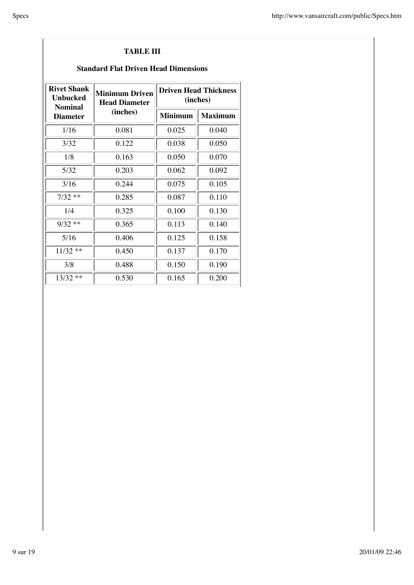#### **TABLE III**

#### **Standard Flat Driven Head Dimensions**

| <b>Rivet Shank</b><br>Unbucked | Minimum Driven<br><b>Head Diameter</b><br><b>Nominal</b> |                | <b>Driven Head Thickness</b><br>(inches) |
|--------------------------------|----------------------------------------------------------|----------------|------------------------------------------|
| <b>Diameter</b>                | (inches)                                                 | <b>Minimum</b> | <b>Maximum</b>                           |
| 1/16                           | 0.081                                                    | 0.025          | 0.040                                    |
| 3/32                           | 0.122                                                    | 0.038          | 0.050                                    |
| 1/8                            | 0.163                                                    | 0.050          | 0.070                                    |
| 5/32                           | 0.203                                                    | 0.062          | 0.092                                    |
| 3/16                           | 0.244                                                    | 0.075          | 0.105                                    |
| $7/32**$                       | 0.285                                                    | 0.087          | 0.110                                    |
| 1/4                            | 0.325                                                    | 0.100          | 0.130                                    |
| $9/32$ **                      | 0.365                                                    | 0.113          | 0.140                                    |
| 5/16                           | 0.406                                                    | 0.125          | 0.158                                    |
| $11/32$ **                     | 0.450                                                    | 0.137          | 0.170                                    |
| 3/8                            | 0.488                                                    | 0.150          | 0.190                                    |
| $13/32$ **                     | 0.530                                                    | 0.165          | 0.200                                    |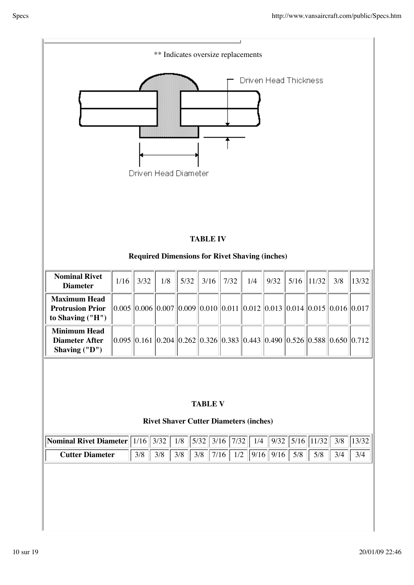| ** Indicates oversize replacements                                 |        |        |      |       |              |      |               |                                                                           |       |               |     |       |
|--------------------------------------------------------------------|--------|--------|------|-------|--------------|------|---------------|---------------------------------------------------------------------------|-------|---------------|-----|-------|
| Driven Head Thickness<br>Driven Head Diameter<br><b>TABLE IV</b>   |        |        |      |       |              |      |               |                                                                           |       |               |     |       |
|                                                                    |        |        |      |       |              |      |               | <b>Required Dimensions for Rivet Shaving (inches)</b>                     |       |               |     |       |
| <b>Nominal Rivet</b><br><b>Diameter</b>                            | $1/16$ | 3/32   | 1/8  | 5/32  | 3/16         | 7/32 | 1/4           | 9/32                                                                      | 5/16  | 11/32         | 3/8 | 13/32 |
| <b>Maximum Head</b><br><b>Protrusion Prior</b><br>to Shaving ("H") |        |        |      |       |              |      |               | $0.005$ 0.006 0.007 0.009 0.010 0.011 0.012 0.013 0.014 0.015 0.016 0.017 |       |               |     |       |
| <b>Minimum Head</b><br><b>Diameter After</b><br>Shaving ("D")      |        |        |      |       |              |      |               | 0.095 0.161 0.204 0.262 0.326 0.383 0.443 0.490 0.526 0.588 0.650 0.712   |       |               |     |       |
| <b>TABLE V</b><br><b>Rivet Shaver Cutter Diameters (inches)</b>    |        |        |      |       |              |      |               |                                                                           |       |               |     |       |
| <b>Nominal Rivet Diameter</b>                                      |        | $1/16$ | 3/32 | $1/8$ | 5/32<br>3/16 |      | 7/32<br>1/4   | 9/32                                                                      |       | $5/16$  11/32 | 3/8 | 13/32 |
| <b>Cutter Diameter</b>                                             |        | 3/8    | 3/8  | 3/8   | 3/8          | 7/16 | $1/2$<br>9/16 | 9/16                                                                      | $5/8$ | 5/8           | 3/4 | 3/4   |
|                                                                    |        |        |      |       |              |      |               |                                                                           |       |               |     |       |

I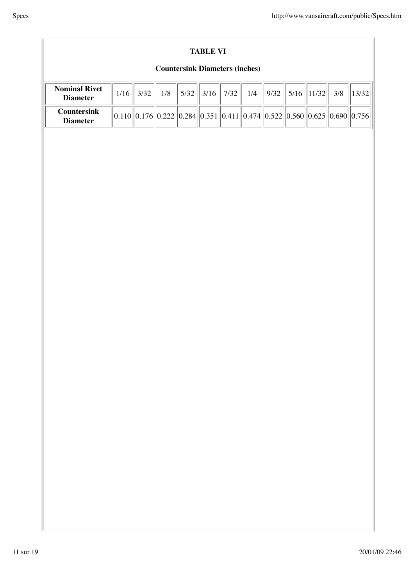|--|

#### **TABLE VI**

### **Countersink Diameters (inches)**

| <b>Nominal Rivet</b><br><b>Diameter</b> | 3/32 | 1/8 |  | $5/32$   3/16   7/32 | 1/4                                                                        | $\ $ 9/32   5/16   11/32 |  | $3/8$   13/32 |
|-----------------------------------------|------|-----|--|----------------------|----------------------------------------------------------------------------|--------------------------|--|---------------|
| <b>Countersink</b><br><b>Diameter</b>   |      |     |  |                      | $ 0.110 0.176 0.222 0.284 0.351 0.411 0.474 0.522 0.560 0.625 0.690 0.756$ |                          |  |               |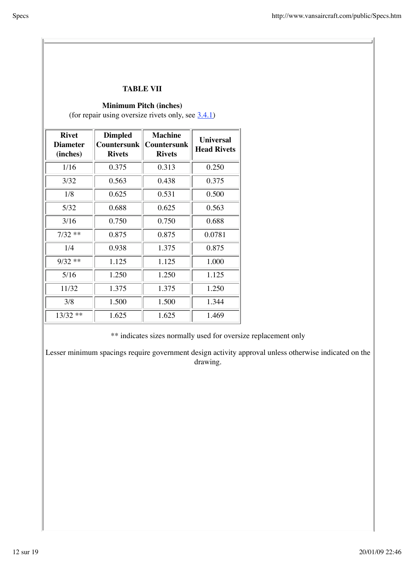#### **TABLE VII**

#### **Minimum Pitch (inches)**

(for repair using oversize rivets only, see  $3.4.1$ )

| <b>Rivet</b><br><b>Diameter</b><br>(inches) | <b>Dimpled</b><br><b>Countersunk</b><br><b>Rivets</b> | <b>Machine</b><br> Countersunk<br><b>Rivets</b> | <b>Universal</b><br><b>Head Rivets</b> |
|---------------------------------------------|-------------------------------------------------------|-------------------------------------------------|----------------------------------------|
| 1/16                                        | 0.375                                                 | 0.313                                           | 0.250                                  |
| 3/32                                        | 0.563                                                 | 0.438                                           | 0.375                                  |
| 1/8                                         | 0.625                                                 | 0.531                                           | 0.500                                  |
| 5/32                                        | 0.688                                                 | 0.625                                           | 0.563                                  |
| 3/16                                        | 0.750                                                 | 0.750                                           | 0.688                                  |
| $7/32$ **                                   | 0.875                                                 | 0.875                                           | 0.0781                                 |
| 1/4                                         | 0.938                                                 | 1.375                                           | 0.875                                  |
| $9/32$ **                                   | 1.125                                                 | 1.125                                           | 1.000                                  |
| 5/16                                        | 1.250                                                 | 1.250                                           | 1.125                                  |
| 11/32                                       | 1.375                                                 | 1.375                                           | 1.250                                  |
| 3/8                                         | 1.500                                                 | 1.500                                           | 1.344                                  |
| $13/32$ **                                  | 1.625                                                 | 1.625                                           | 1.469                                  |

\*\* indicates sizes normally used for oversize replacement only

Lesser minimum spacings require government design activity approval unless otherwise indicated on the drawing.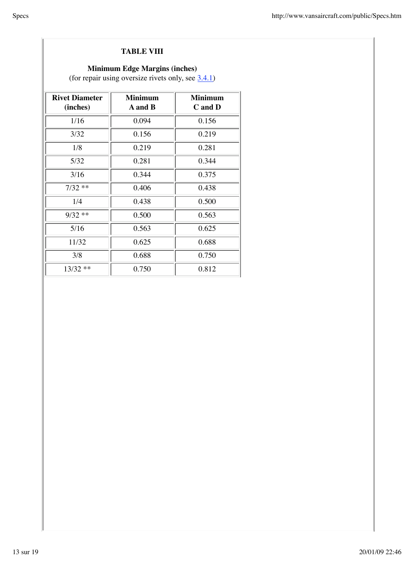#### **TABLE VIII**

### **Minimum Edge Margins (inches)**

(for repair using oversize rivets only, see  $3.4.1$ )

| <b>Rivet Diameter</b><br>(inches) | <b>Minimum</b><br><b>A</b> and <b>B</b> | <b>Minimum</b><br>C and D |
|-----------------------------------|-----------------------------------------|---------------------------|
| 1/16                              | 0.094                                   | 0.156                     |
| 3/32                              | 0.156                                   | 0.219                     |
| 1/8                               | 0.219                                   | 0.281                     |
| 5/32                              | 0.281                                   | 0.344                     |
| 3/16                              | 0.344                                   | 0.375                     |
| $7/32**$                          | 0.406                                   | 0.438                     |
| 1/4                               | 0.438                                   | 0.500                     |
| $9/32$ **                         | 0.500                                   | 0.563                     |
| 5/16                              | 0.563                                   | 0.625                     |
| 11/32                             | 0.625                                   | 0.688                     |
| 3/8                               | 0.688                                   | 0.750                     |
| $13/32$ **                        | 0.750                                   | 0.812                     |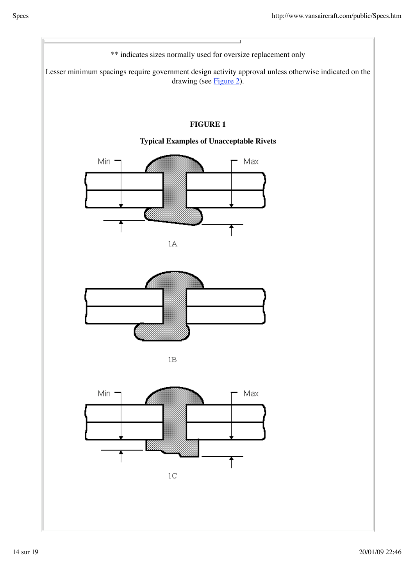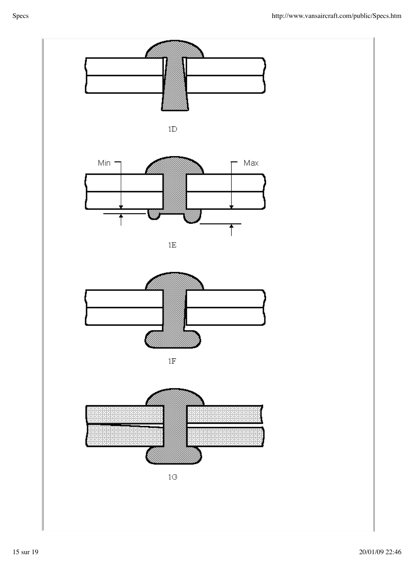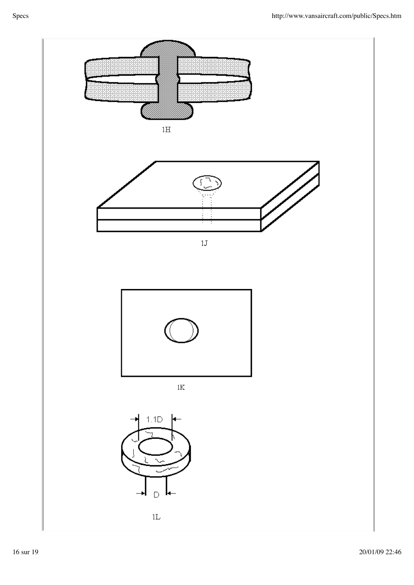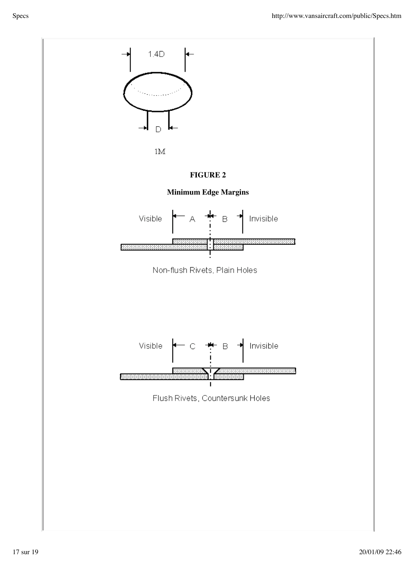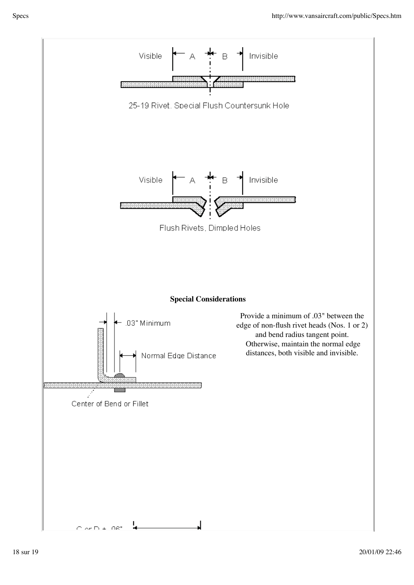